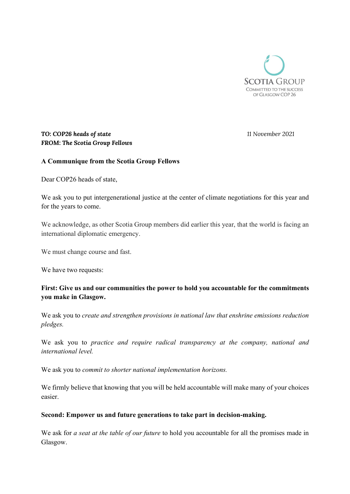

# TO: COP26 heads of state 11 November 2021 FROM: The Scotia Group Fellows

## A Communique from the Scotia Group Fellows

Dear COP26 heads of state,

We ask you to put intergenerational justice at the center of climate negotiations for this year and for the years to come.

We acknowledge, as other Scotia Group members did earlier this year, that the world is facing an international diplomatic emergency.

We must change course and fast.

We have two requests:

## First: Give us and our communities the power to hold you accountable for the commitments you make in Glasgow.

We ask you to create and strengthen provisions in national law that enshrine emissions reduction pledges.

We ask you to *practice and require radical transparency at the company*, *national and* international level.

We ask you to commit to shorter national implementation horizons.

We firmly believe that knowing that you will be held accountable will make many of your choices easier.

### Second: Empower us and future generations to take part in decision-making.

We ask for a seat at the table of our future to hold you accountable for all the promises made in Glasgow.